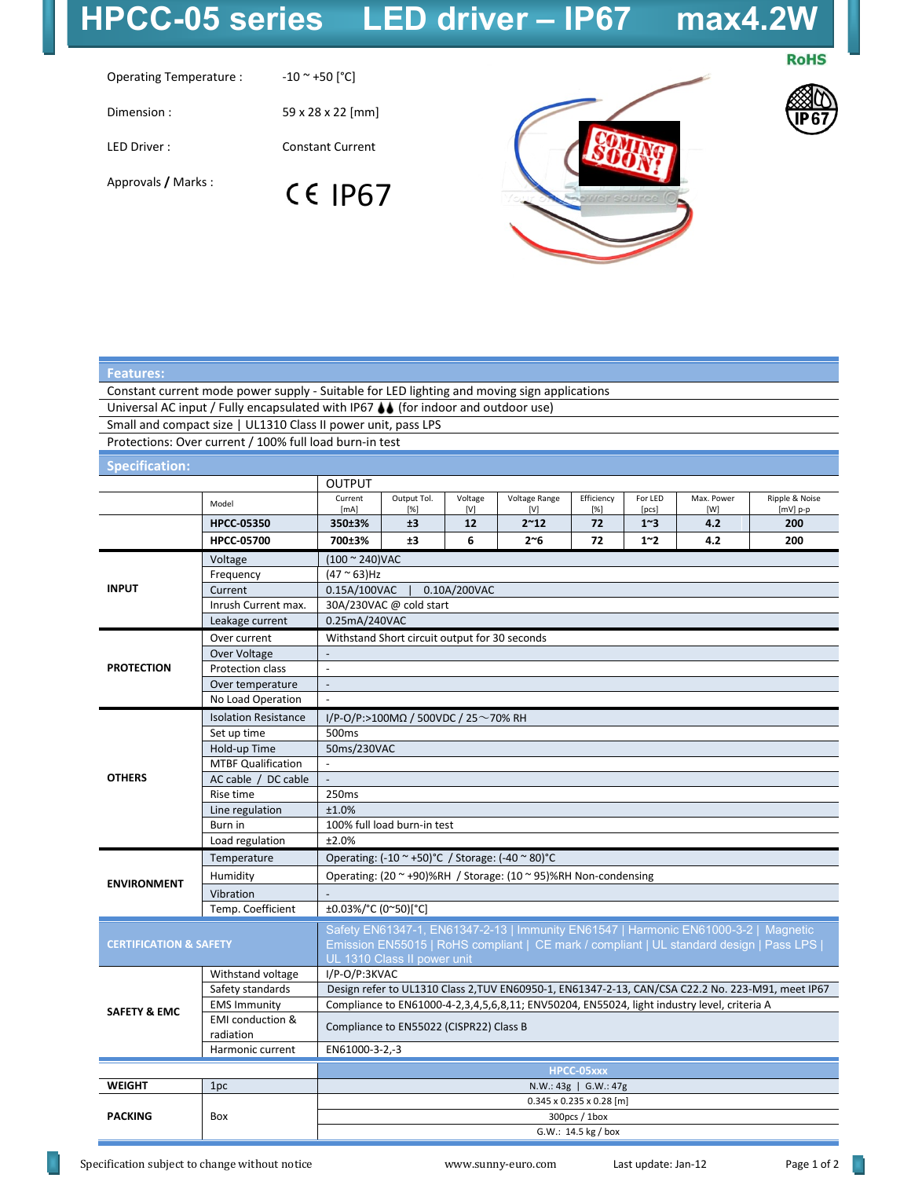## **HPCC-05 series LED driver – IP67 max4.2W**

## **RoHS**

Operating Temperature :  $-10 \sim +50$  [°C]

Dimension : 59 x 28 x 22 [mm]

LED Driver : Constant Current

**Features:**

**CE IP67** 

Approvals **/** Marks :





| Constant current mode power supply - Suitable for LED lighting and moving sign applications |                                                                                     |                                                                                                   |             |         |               |                                      |                |            |                |
|---------------------------------------------------------------------------------------------|-------------------------------------------------------------------------------------|---------------------------------------------------------------------------------------------------|-------------|---------|---------------|--------------------------------------|----------------|------------|----------------|
| Universal AC input / Fully encapsulated with IP67 $\bigcup$ (for indoor and outdoor use)    |                                                                                     |                                                                                                   |             |         |               |                                      |                |            |                |
| Small and compact size   UL1310 Class II power unit, pass LPS                               |                                                                                     |                                                                                                   |             |         |               |                                      |                |            |                |
| Protections: Over current / 100% full load burn-in test                                     |                                                                                     |                                                                                                   |             |         |               |                                      |                |            |                |
| <b>Specification:</b>                                                                       |                                                                                     |                                                                                                   |             |         |               |                                      |                |            |                |
|                                                                                             |                                                                                     | <b>OUTPUT</b>                                                                                     |             |         |               |                                      |                |            |                |
|                                                                                             | Model                                                                               | Current                                                                                           | Output Tol. | Voltage | Voltage Range | Efficiency                           | For LED        | Max. Power | Ripple & Noise |
|                                                                                             |                                                                                     | [mA]                                                                                              | [%]         | [V]     | [V]           | [%]                                  | [pcs]          | [W]        | [mV] p-p       |
|                                                                                             | <b>HPCC-05350</b>                                                                   | 350±3%                                                                                            | ±3          | 12<br>6 | $2^{\sim}12$  | 72                                   | $1^{\sim}3$    | 4.2        | 200            |
|                                                                                             | <b>HPCC-05700</b>                                                                   | 700±3%                                                                                            | ±3          |         | 2~6           | 72                                   | 1 <sup>2</sup> | 4.2        | 200            |
| <b>INPUT</b>                                                                                | Voltage                                                                             | $(100 \times 240)$ VAC                                                                            |             |         |               |                                      |                |            |                |
|                                                                                             | Frequency                                                                           | $(47 ° 63)$ Hz                                                                                    |             |         |               |                                      |                |            |                |
|                                                                                             | Current                                                                             | 0.15A/100VAC<br>0.10A/200VAC                                                                      |             |         |               |                                      |                |            |                |
|                                                                                             | Inrush Current max.                                                                 | 30A/230VAC @ cold start                                                                           |             |         |               |                                      |                |            |                |
|                                                                                             | Leakage current                                                                     | 0.25mA/240VAC                                                                                     |             |         |               |                                      |                |            |                |
| <b>PROTECTION</b>                                                                           | Over current                                                                        | Withstand Short circuit output for 30 seconds                                                     |             |         |               |                                      |                |            |                |
|                                                                                             | Over Voltage                                                                        |                                                                                                   |             |         |               |                                      |                |            |                |
|                                                                                             | Protection class                                                                    | $\sim$                                                                                            |             |         |               |                                      |                |            |                |
|                                                                                             | Over temperature                                                                    | $\blacksquare$                                                                                    |             |         |               |                                      |                |            |                |
|                                                                                             | No Load Operation                                                                   | $\Box$                                                                                            |             |         |               |                                      |                |            |                |
| <b>OTHERS</b>                                                                               | <b>Isolation Resistance</b>                                                         | I/P-O/P:>100ΜΩ / 500VDC / 25 $\sim$ 70% RH                                                        |             |         |               |                                      |                |            |                |
|                                                                                             | Set up time                                                                         | 500 <sub>ms</sub>                                                                                 |             |         |               |                                      |                |            |                |
|                                                                                             | Hold-up Time                                                                        | 50ms/230VAC                                                                                       |             |         |               |                                      |                |            |                |
|                                                                                             | <b>MTBF Qualification</b>                                                           |                                                                                                   |             |         |               |                                      |                |            |                |
|                                                                                             | AC cable / DC cable                                                                 | $\Box$                                                                                            |             |         |               |                                      |                |            |                |
|                                                                                             | Rise time                                                                           | 250ms                                                                                             |             |         |               |                                      |                |            |                |
|                                                                                             | Line regulation                                                                     | ±1.0%                                                                                             |             |         |               |                                      |                |            |                |
|                                                                                             | Burn in                                                                             | 100% full load burn-in test                                                                       |             |         |               |                                      |                |            |                |
|                                                                                             | Load regulation                                                                     | ±2.0%                                                                                             |             |         |               |                                      |                |            |                |
| <b>ENVIRONMENT</b>                                                                          | Temperature                                                                         | Operating: $(-10 \degree +50)$ °C / Storage: $(-40 \degree 80)$ °C                                |             |         |               |                                      |                |            |                |
|                                                                                             | Humidity                                                                            | Operating: (20 ~ +90)%RH / Storage: (10 ~ 95)%RH Non-condensing                                   |             |         |               |                                      |                |            |                |
|                                                                                             | Vibration                                                                           |                                                                                                   |             |         |               |                                      |                |            |                |
|                                                                                             | Temp. Coefficient                                                                   | ±0.03%/°C (0~50)[°C]                                                                              |             |         |               |                                      |                |            |                |
|                                                                                             | Safety EN61347-1, EN61347-2-13   Immunity EN61547   Harmonic EN61000-3-2   Magnetic |                                                                                                   |             |         |               |                                      |                |            |                |
| <b>CERTIFICATION &amp; SAFETY</b>                                                           |                                                                                     | Emission EN55015   RoHS compliant   CE mark / compliant   UL standard design   Pass LPS           |             |         |               |                                      |                |            |                |
|                                                                                             |                                                                                     | UL 1310 Class II power unit                                                                       |             |         |               |                                      |                |            |                |
| <b>SAFETY &amp; EMC</b>                                                                     | Withstand voltage                                                                   | I/P-O/P:3KVAC                                                                                     |             |         |               |                                      |                |            |                |
|                                                                                             | Safety standards                                                                    | Design refer to UL1310 Class 2, TUV EN60950-1, EN61347-2-13, CAN/CSA C22.2 No. 223-M91, meet IP67 |             |         |               |                                      |                |            |                |
|                                                                                             | <b>EMS Immunity</b>                                                                 | Compliance to EN61000-4-2,3,4,5,6,8,11; ENV50204, EN55024, light industry level, criteria A       |             |         |               |                                      |                |            |                |
|                                                                                             | <b>EMI</b> conduction &                                                             |                                                                                                   |             |         |               |                                      |                |            |                |
|                                                                                             | radiation                                                                           | Compliance to EN55022 (CISPR22) Class B                                                           |             |         |               |                                      |                |            |                |
|                                                                                             | Harmonic current                                                                    | EN61000-3-2,-3                                                                                    |             |         |               |                                      |                |            |                |
|                                                                                             |                                                                                     | HPCC-05xxx                                                                                        |             |         |               |                                      |                |            |                |
| <b>WEIGHT</b>                                                                               | 1pc                                                                                 | N.W.: 43g   G.W.: 47g                                                                             |             |         |               |                                      |                |            |                |
|                                                                                             |                                                                                     |                                                                                                   |             |         |               | $0.345 \times 0.235 \times 0.28$ [m] |                |            |                |
| <b>PACKING</b>                                                                              | Box                                                                                 | 300pcs / 1box                                                                                     |             |         |               |                                      |                |            |                |

G.W.: 14.5 kg / box